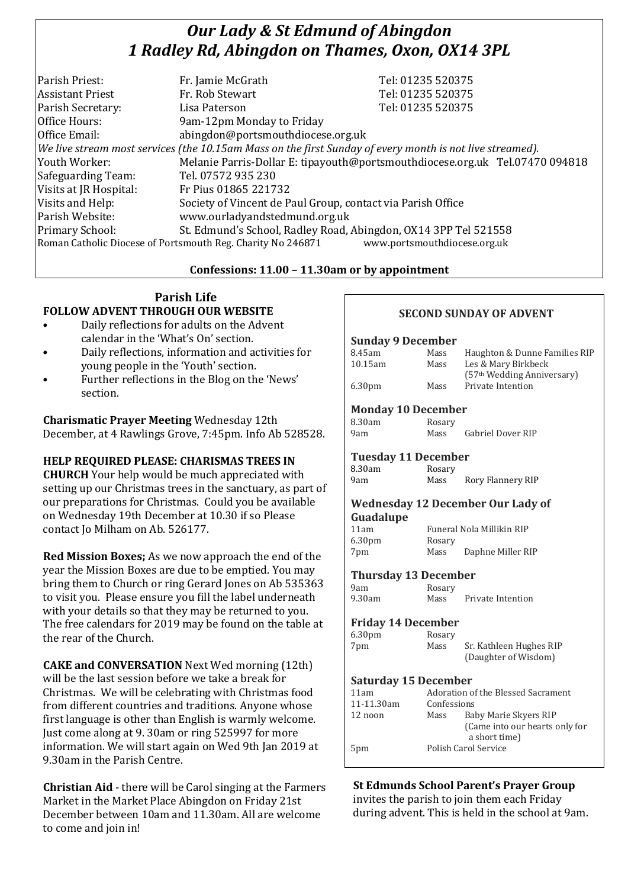# *Our Lady & St Edmund of Abingdon 1 Radley Rd, Abingdon on Thames, Oxon, OX14 3PL*

| Parish Priest:          | Fr. Jamie McGrath                                                                                        | Tel: 01235 520375                                                            |
|-------------------------|----------------------------------------------------------------------------------------------------------|------------------------------------------------------------------------------|
| <b>Assistant Priest</b> | Fr. Rob Stewart                                                                                          | Tel: 01235 520375                                                            |
| Parish Secretary:       | Lisa Paterson                                                                                            | Tel: 01235 520375                                                            |
| Office Hours:           | 9am-12pm Monday to Friday                                                                                |                                                                              |
| Office Email:           | abingdon@portsmouthdiocese.org.uk                                                                        |                                                                              |
|                         | We live stream most services (the 10.15am Mass on the first Sunday of every month is not live streamed). |                                                                              |
| Youth Worker:           |                                                                                                          | Melanie Parris-Dollar E: tipayouth@portsmouthdiocese.org.uk Tel.07470 094818 |
| Safeguarding Team:      | Tel. 07572 935 230                                                                                       |                                                                              |
| Visits at JR Hospital:  | Fr Pius 01865 221732                                                                                     |                                                                              |
| Visits and Help:        | Society of Vincent de Paul Group, contact via Parish Office                                              |                                                                              |
| Parish Website:         | www.ourladyandstedmund.org.uk                                                                            |                                                                              |
| Primary School:         | St. Edmund's School, Radley Road, Abingdon, OX14 3PP Tel 521558                                          |                                                                              |
|                         | Roman Catholic Diocese of Portsmouth Reg. Charity No 246871                                              | www.portsmouthdiocese.org.uk                                                 |

### **Confessions: 11.00 – 11.30am or by appointment**

# **Parish Life FOLLOW ADVENT THROUGH OUR WEBSITE**

- Daily reflections for adults on the Advent calendar in the 'What's On' section.
- Daily reflections, information and activities for young people in the 'Youth' section.
- Further reflections in the Blog on the 'News' section.

**Charismatic Prayer Meeting** Wednesday 12th December, at 4 Rawlings Grove, 7:45pm. Info Ab 528528.

# **HELP REQUIRED PLEASE: CHARISMAS TREES IN**

**CHURCH** Your help would be much appreciated with setting up our Christmas trees in the sanctuary, as part of our preparations for Christmas. Could you be available on Wednesday 19th December at 10.30 if so Please contact Jo Milham on Ab. 526177.

**Red Mission Boxes;** As we now approach the end of the year the Mission Boxes are due to be emptied. You may bring them to Church or ring Gerard Jones on Ab 535363 to visit you. Please ensure you fill the label underneath with your details so that they may be returned to you. The free calendars for 2019 may be found on the table at the rear of the Church.

**CAKE and CONVERSATION** Next Wed morning (12th) will be the last session before we take a break for Christmas. We will be celebrating with Christmas food from different countries and traditions. Anyone whose first language is other than English is warmly welcome. Just come along at 9. 30am or ring 525997 for more information. We will start again on Wed 9th Jan 2019 at 9.30am in the Parish Centre.

**Christian Aid** - there will be Carol singing at the Farmers Market in the Market Place Abingdon on Friday 21st December between 10am and 11.30am. All are welcome to come and join in!

# **SECOND SUNDAY OF ADVENT**

#### **Sunday 9 December**

| 8.45am             | Mass | Haughton & Dunne Families RIP          |
|--------------------|------|----------------------------------------|
| 10.15am            | Mass | Les & Mary Birkbeck                    |
|                    |      | (57 <sup>th</sup> Wedding Anniversary) |
| 6.30 <sub>pm</sub> | Mass | Private Intention                      |
|                    |      |                                        |

# **Monday 10 December**

| 8.30am | Rosary |                          |  |
|--------|--------|--------------------------|--|
| 9am    | Mass   | <b>Gabriel Dover RIP</b> |  |

### **Tuesday 11 December**

| 8.30am | Rosary |                   |
|--------|--------|-------------------|
| 9am    | Mass   | Rory Flannery RIP |

#### **Wednesday 12 December Our Lady of Guadalupe**

| 11am               |        | Funeral Nola Millikin RIP |
|--------------------|--------|---------------------------|
| 6.30 <sub>pm</sub> | Rosary |                           |
| 7pm                | Mass   | Daphne Miller RIP         |

### **Thursday 13 December**

| 9am    | Rosary |                   |
|--------|--------|-------------------|
| 9.30am | Mass   | Private Intention |

#### **Friday 14 December**

| 6.30 <sub>pm</sub> | Rosary |                         |
|--------------------|--------|-------------------------|
| 7pm                | Mass   | Sr. Kathleen Hughes RIP |
|                    |        | (Daughter of Wisdom)    |

### **Saturday 15 December**

| 11am       | Adoration of the Blessed Sacrament |                                |
|------------|------------------------------------|--------------------------------|
| 11-11.30am | Confessions                        |                                |
| 12 noon    | Baby Marie Skyers RIP<br>Mass      |                                |
|            |                                    | (Came into our hearts only for |
|            |                                    | a short time)                  |
| 5pm        |                                    | Polish Carol Service           |
|            |                                    |                                |

# **St Edmunds School Parent's Prayer Group**

invites the parish to join them each Friday during advent. This is held in the school at 9am.